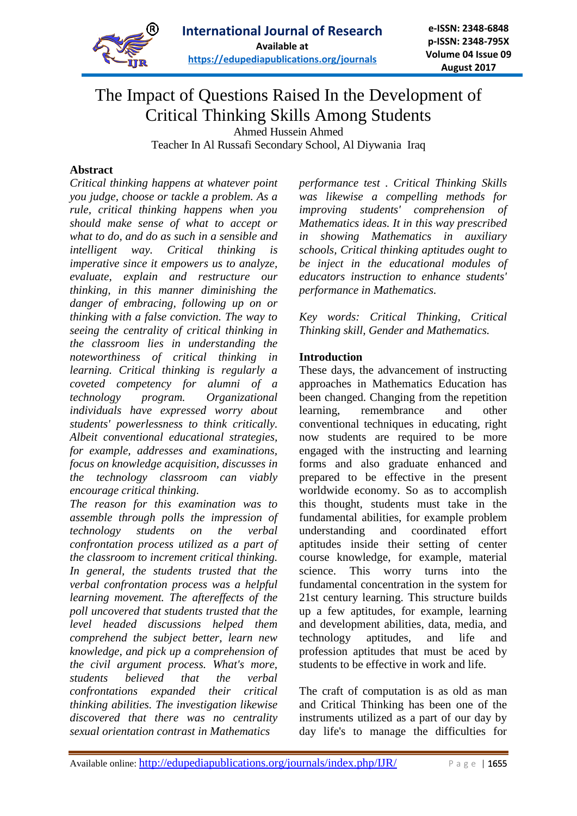

# The Impact of Questions Raised In the Development of Critical Thinking Skills Among Students

Ahmed Hussein Ahmed

Teacher In Al Russafi Secondary School, Al Diywania Iraq

## **Abstract**

*Critical thinking happens at whatever point you judge, choose or tackle a problem. As a rule, critical thinking happens when you should make sense of what to accept or what to do, and do as such in a sensible and intelligent way. Critical thinking is imperative since it empowers us to analyze, evaluate, explain and restructure our thinking, in this manner diminishing the danger of embracing, following up on or thinking with a false conviction. The way to seeing the centrality of critical thinking in the classroom lies in understanding the noteworthiness of critical thinking in learning. Critical thinking is regularly a coveted competency for alumni of a technology program. Organizational individuals have expressed worry about students' powerlessness to think critically. Albeit conventional educational strategies, for example, addresses and examinations, focus on knowledge acquisition, discusses in the technology classroom can viably encourage critical thinking.*

*The reason for this examination was to assemble through polls the impression of technology students on the verbal confrontation process utilized as a part of the classroom to increment critical thinking. In general, the students trusted that the verbal confrontation process was a helpful learning movement. The aftereffects of the poll uncovered that students trusted that the level headed discussions helped them comprehend the subject better, learn new knowledge, and pick up a comprehension of the civil argument process. What's more, students believed that the verbal confrontations expanded their critical thinking abilities. The investigation likewise discovered that there was no centrality sexual orientation contrast in Mathematics* 

*performance test . Critical Thinking Skills was likewise a compelling methods for improving students' comprehension of Mathematics ideas. It in this way prescribed in showing Mathematics in auxiliary schools, Critical thinking aptitudes ought to be inject in the educational modules of educators instruction to enhance students' performance in Mathematics.*

*Key words: Critical Thinking, Critical Thinking skill, Gender and Mathematics.*

## **Introduction**

These days, the advancement of instructing approaches in Mathematics Education has been changed. Changing from the repetition learning, remembrance and other conventional techniques in educating, right now students are required to be more engaged with the instructing and learning forms and also graduate enhanced and prepared to be effective in the present worldwide economy. So as to accomplish this thought, students must take in the fundamental abilities, for example problem understanding and coordinated effort aptitudes inside their setting of center course knowledge, for example, material science. This worry turns into the fundamental concentration in the system for 21st century learning. This structure builds up a few aptitudes, for example, learning and development abilities, data, media, and technology aptitudes, and life and profession aptitudes that must be aced by students to be effective in work and life.

The craft of computation is as old as man and Critical Thinking has been one of the instruments utilized as a part of our day by day life's to manage the difficulties for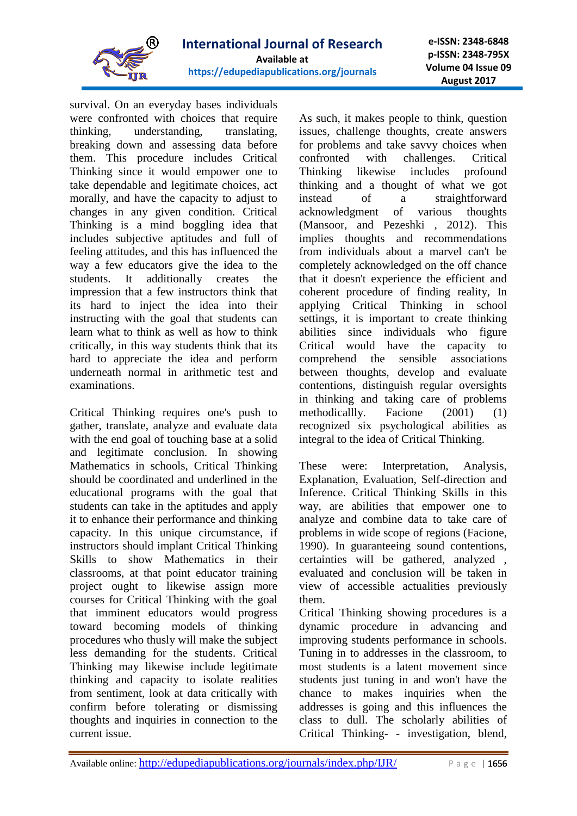

survival. On an everyday bases individuals were confronted with choices that require thinking, understanding, translating, breaking down and assessing data before them. This procedure includes Critical Thinking since it would empower one to take dependable and legitimate choices, act morally, and have the capacity to adjust to changes in any given condition. Critical Thinking is a mind boggling idea that includes subjective aptitudes and full of feeling attitudes, and this has influenced the way a few educators give the idea to the students. It additionally creates the impression that a few instructors think that its hard to inject the idea into their instructing with the goal that students can learn what to think as well as how to think critically, in this way students think that its hard to appreciate the idea and perform underneath normal in arithmetic test and examinations.

Critical Thinking requires one's push to gather, translate, analyze and evaluate data with the end goal of touching base at a solid and legitimate conclusion. In showing Mathematics in schools, Critical Thinking should be coordinated and underlined in the educational programs with the goal that students can take in the aptitudes and apply it to enhance their performance and thinking capacity. In this unique circumstance, if instructors should implant Critical Thinking Skills to show Mathematics in their classrooms, at that point educator training project ought to likewise assign more courses for Critical Thinking with the goal that imminent educators would progress toward becoming models of thinking procedures who thusly will make the subject less demanding for the students. Critical Thinking may likewise include legitimate thinking and capacity to isolate realities from sentiment, look at data critically with confirm before tolerating or dismissing thoughts and inquiries in connection to the current issue.

As such, it makes people to think, question issues, challenge thoughts, create answers for problems and take savvy choices when confronted with challenges. Critical Thinking likewise includes profound thinking and a thought of what we got instead of a straightforward acknowledgment of various thoughts (Mansoor, and Pezeshki , 2012). This implies thoughts and recommendations from individuals about a marvel can't be completely acknowledged on the off chance that it doesn't experience the efficient and coherent procedure of finding reality, In applying Critical Thinking in school settings, it is important to create thinking abilities since individuals who figure Critical would have the capacity to comprehend the sensible associations between thoughts, develop and evaluate contentions, distinguish regular oversights in thinking and taking care of problems methodicallly. Facione (2001) (1) recognized six psychological abilities as integral to the idea of Critical Thinking.

These were: Interpretation, Analysis, Explanation, Evaluation, Self-direction and Inference. Critical Thinking Skills in this way, are abilities that empower one to analyze and combine data to take care of problems in wide scope of regions (Facione, 1990). In guaranteeing sound contentions, certainties will be gathered, analyzed , evaluated and conclusion will be taken in view of accessible actualities previously them.

Critical Thinking showing procedures is a dynamic procedure in advancing and improving students performance in schools. Tuning in to addresses in the classroom, to most students is a latent movement since students just tuning in and won't have the chance to makes inquiries when the addresses is going and this influences the class to dull. The scholarly abilities of Critical Thinking- - investigation, blend,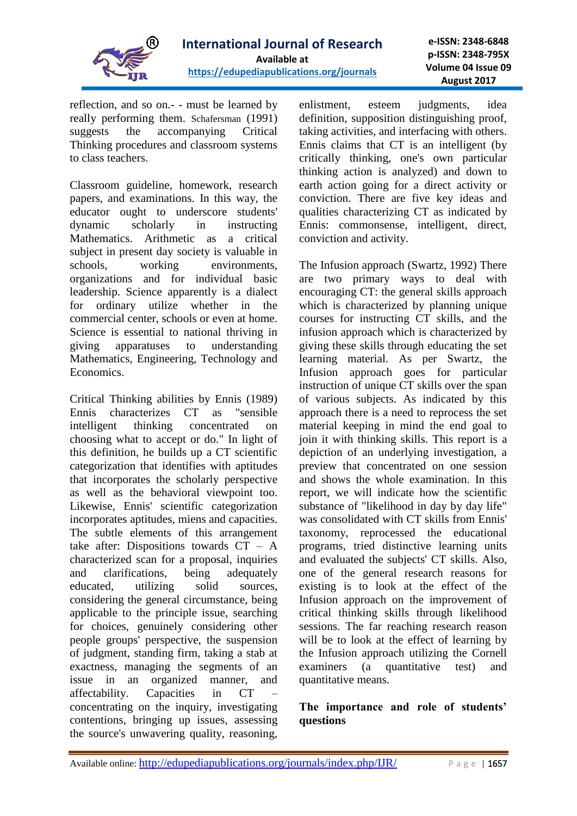

reflection, and so on.- - must be learned by really performing them. Schafersman (1991) suggests the accompanying Critical Thinking procedures and classroom systems to class teachers.

Classroom guideline, homework, research papers, and examinations. In this way, the educator ought to underscore students' dynamic scholarly in instructing Mathematics. Arithmetic as a critical subject in present day society is valuable in schools, working environments, organizations and for individual basic leadership. Science apparently is a dialect for ordinary utilize whether in the commercial center, schools or even at home. Science is essential to national thriving in giving apparatuses to understanding Mathematics, Engineering, Technology and Economics.

Critical Thinking abilities by Ennis (1989) Ennis characterizes CT as "sensible intelligent thinking concentrated on choosing what to accept or do." In light of this definition, he builds up a CT scientific categorization that identifies with aptitudes that incorporates the scholarly perspective as well as the behavioral viewpoint too. Likewise, Ennis' scientific categorization incorporates aptitudes, miens and capacities. The subtle elements of this arrangement take after: Dispositions towards CT – A characterized scan for a proposal, inquiries and clarifications, being adequately educated, utilizing solid sources, considering the general circumstance, being applicable to the principle issue, searching for choices, genuinely considering other people groups' perspective, the suspension of judgment, standing firm, taking a stab at exactness, managing the segments of an issue in an organized manner, and affectability. Capacities in CT – concentrating on the inquiry, investigating contentions, bringing up issues, assessing the source's unwavering quality, reasoning,

enlistment, esteem judgments, idea definition, supposition distinguishing proof, taking activities, and interfacing with others. Ennis claims that CT is an intelligent (by critically thinking, one's own particular thinking action is analyzed) and down to earth action going for a direct activity or conviction. There are five key ideas and qualities characterizing CT as indicated by Ennis: commonsense, intelligent, direct, conviction and activity.

The Infusion approach (Swartz, 1992) There are two primary ways to deal with encouraging CT: the general skills approach which is characterized by planning unique courses for instructing CT skills, and the infusion approach which is characterized by giving these skills through educating the set learning material. As per Swartz, the Infusion approach goes for particular instruction of unique CT skills over the span of various subjects. As indicated by this approach there is a need to reprocess the set material keeping in mind the end goal to join it with thinking skills. This report is a depiction of an underlying investigation, a preview that concentrated on one session and shows the whole examination. In this report, we will indicate how the scientific substance of "likelihood in day by day life" was consolidated with CT skills from Ennis' taxonomy, reprocessed the educational programs, tried distinctive learning units and evaluated the subjects' CT skills. Also, one of the general research reasons for existing is to look at the effect of the Infusion approach on the improvement of critical thinking skills through likelihood sessions. The far reaching research reason will be to look at the effect of learning by the Infusion approach utilizing the Cornell examiners (a quantitative test) and quantitative means.

## **The importance and role of students' questions**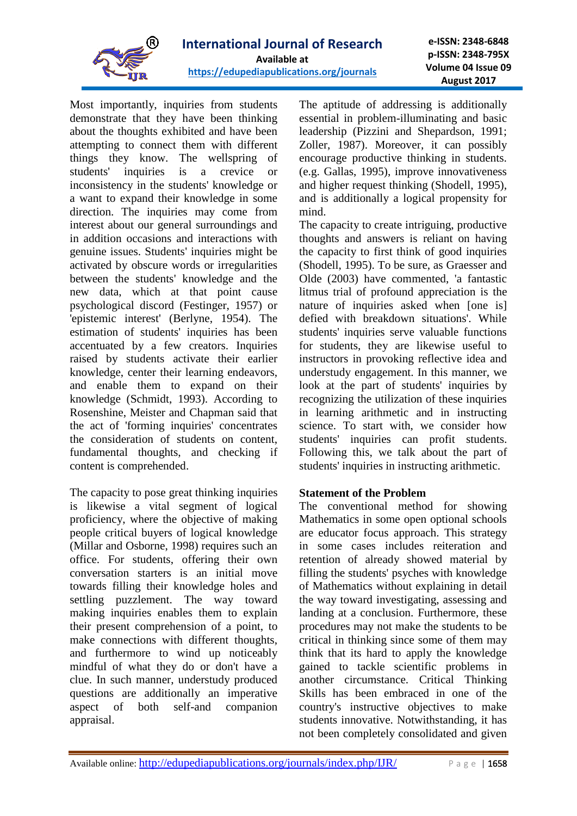

Most importantly, inquiries from students demonstrate that they have been thinking about the thoughts exhibited and have been attempting to connect them with different things they know. The wellspring of students' inquiries is a crevice or inconsistency in the students' knowledge or a want to expand their knowledge in some direction. The inquiries may come from interest about our general surroundings and in addition occasions and interactions with genuine issues. Students' inquiries might be activated by obscure words or irregularities between the students' knowledge and the new data, which at that point cause psychological discord (Festinger, 1957) or 'epistemic interest' (Berlyne, 1954). The estimation of students' inquiries has been accentuated by a few creators. Inquiries raised by students activate their earlier knowledge, center their learning endeavors, and enable them to expand on their knowledge (Schmidt, 1993). According to Rosenshine, Meister and Chapman said that the act of 'forming inquiries' concentrates the consideration of students on content, fundamental thoughts, and checking if content is comprehended.

The capacity to pose great thinking inquiries is likewise a vital segment of logical proficiency, where the objective of making people critical buyers of logical knowledge (Millar and Osborne, 1998) requires such an office. For students, offering their own conversation starters is an initial move towards filling their knowledge holes and settling puzzlement. The way toward making inquiries enables them to explain their present comprehension of a point, to make connections with different thoughts, and furthermore to wind up noticeably mindful of what they do or don't have a clue. In such manner, understudy produced questions are additionally an imperative aspect of both self-and companion appraisal.

The aptitude of addressing is additionally essential in problem-illuminating and basic leadership (Pizzini and Shepardson, 1991; Zoller, 1987). Moreover, it can possibly encourage productive thinking in students. (e.g. Gallas, 1995), improve innovativeness and higher request thinking (Shodell, 1995), and is additionally a logical propensity for mind.

The capacity to create intriguing, productive thoughts and answers is reliant on having the capacity to first think of good inquiries (Shodell, 1995). To be sure, as Graesser and Olde (2003) have commented, 'a fantastic litmus trial of profound appreciation is the nature of inquiries asked when [one is] defied with breakdown situations'. While students' inquiries serve valuable functions for students, they are likewise useful to instructors in provoking reflective idea and understudy engagement. In this manner, we look at the part of students' inquiries by recognizing the utilization of these inquiries in learning arithmetic and in instructing science. To start with, we consider how students' inquiries can profit students. Following this, we talk about the part of students' inquiries in instructing arithmetic.

#### **Statement of the Problem**

The conventional method for showing Mathematics in some open optional schools are educator focus approach. This strategy in some cases includes reiteration and retention of already showed material by filling the students' psyches with knowledge of Mathematics without explaining in detail the way toward investigating, assessing and landing at a conclusion. Furthermore, these procedures may not make the students to be critical in thinking since some of them may think that its hard to apply the knowledge gained to tackle scientific problems in another circumstance. Critical Thinking Skills has been embraced in one of the country's instructive objectives to make students innovative. Notwithstanding, it has not been completely consolidated and given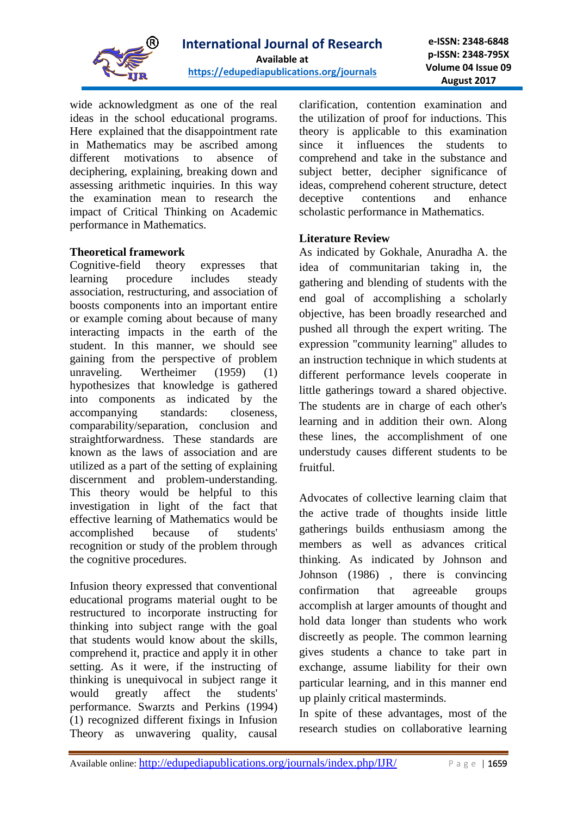

wide acknowledgment as one of the real ideas in the school educational programs. Here explained that the disappointment rate in Mathematics may be ascribed among different motivations to absence of deciphering, explaining, breaking down and assessing arithmetic inquiries. In this way the examination mean to research the impact of Critical Thinking on Academic performance in Mathematics.

## **Theoretical framework**

Cognitive-field theory expresses that learning procedure includes steady association, restructuring, and association of boosts components into an important entire or example coming about because of many interacting impacts in the earth of the student. In this manner, we should see gaining from the perspective of problem unraveling. Wertheimer (1959) (1) hypothesizes that knowledge is gathered into components as indicated by the accompanying standards: closeness, comparability/separation, conclusion and straightforwardness. These standards are known as the laws of association and are utilized as a part of the setting of explaining discernment and problem-understanding. This theory would be helpful to this investigation in light of the fact that effective learning of Mathematics would be accomplished because of students' recognition or study of the problem through the cognitive procedures.

Infusion theory expressed that conventional educational programs material ought to be restructured to incorporate instructing for thinking into subject range with the goal that students would know about the skills, comprehend it, practice and apply it in other setting. As it were, if the instructing of thinking is unequivocal in subject range it would greatly affect the students' performance. Swarzts and Perkins (1994) (1) recognized different fixings in Infusion Theory as unwavering quality, causal clarification, contention examination and the utilization of proof for inductions. This theory is applicable to this examination since it influences the students to comprehend and take in the substance and subject better, decipher significance of ideas, comprehend coherent structure, detect deceptive contentions and enhance scholastic performance in Mathematics.

## **Literature Review**

As indicated by Gokhale, Anuradha A. the idea of communitarian taking in, the gathering and blending of students with the end goal of accomplishing a scholarly objective, has been broadly researched and pushed all through the expert writing. The expression "community learning" alludes to an instruction technique in which students at different performance levels cooperate in little gatherings toward a shared objective. The students are in charge of each other's learning and in addition their own. Along these lines, the accomplishment of one understudy causes different students to be fruitful.

Advocates of collective learning claim that the active trade of thoughts inside little gatherings builds enthusiasm among the members as well as advances critical thinking. As indicated by Johnson and Johnson (1986) , there is convincing confirmation that agreeable groups accomplish at larger amounts of thought and hold data longer than students who work discreetly as people. The common learning gives students a chance to take part in exchange, assume liability for their own particular learning, and in this manner end up plainly critical masterminds.

In spite of these advantages, most of the research studies on collaborative learning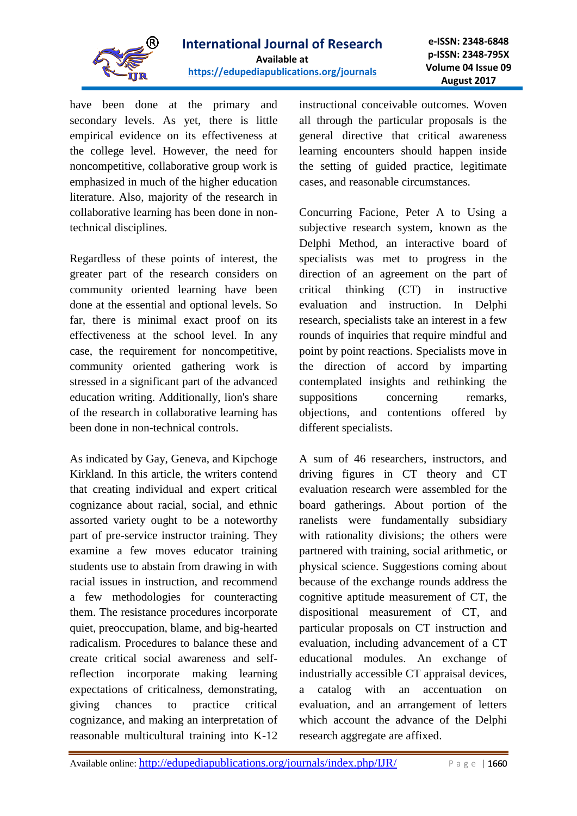

have been done at the primary and secondary levels. As yet, there is little empirical evidence on its effectiveness at the college level. However, the need for noncompetitive, collaborative group work is emphasized in much of the higher education literature. Also, majority of the research in collaborative learning has been done in nontechnical disciplines.

Regardless of these points of interest, the greater part of the research considers on community oriented learning have been done at the essential and optional levels. So far, there is minimal exact proof on its effectiveness at the school level. In any case, the requirement for noncompetitive, community oriented gathering work is stressed in a significant part of the advanced education writing. Additionally, lion's share of the research in collaborative learning has been done in non-technical controls.

As indicated by Gay, Geneva, and Kipchoge Kirkland. In this article, the writers contend that creating individual and expert critical cognizance about racial, social, and ethnic assorted variety ought to be a noteworthy part of pre-service instructor training. They examine a few moves educator training students use to abstain from drawing in with racial issues in instruction, and recommend a few methodologies for counteracting them. The resistance procedures incorporate quiet, preoccupation, blame, and big-hearted radicalism. Procedures to balance these and create critical social awareness and selfreflection incorporate making learning expectations of criticalness, demonstrating, giving chances to practice critical cognizance, and making an interpretation of reasonable multicultural training into K-12

instructional conceivable outcomes. Woven all through the particular proposals is the general directive that critical awareness learning encounters should happen inside the setting of guided practice, legitimate cases, and reasonable circumstances.

Concurring Facione, Peter A to Using a subjective research system, known as the Delphi Method, an interactive board of specialists was met to progress in the direction of an agreement on the part of critical thinking (CT) in instructive evaluation and instruction. In Delphi research, specialists take an interest in a few rounds of inquiries that require mindful and point by point reactions. Specialists move in the direction of accord by imparting contemplated insights and rethinking the suppositions concerning remarks, objections, and contentions offered by different specialists.

A sum of 46 researchers, instructors, and driving figures in CT theory and CT evaluation research were assembled for the board gatherings. About portion of the ranelists were fundamentally subsidiary with rationality divisions; the others were partnered with training, social arithmetic, or physical science. Suggestions coming about because of the exchange rounds address the cognitive aptitude measurement of CT, the dispositional measurement of CT, and particular proposals on CT instruction and evaluation, including advancement of a CT educational modules. An exchange of industrially accessible CT appraisal devices, a catalog with an accentuation on evaluation, and an arrangement of letters which account the advance of the Delphi research aggregate are affixed.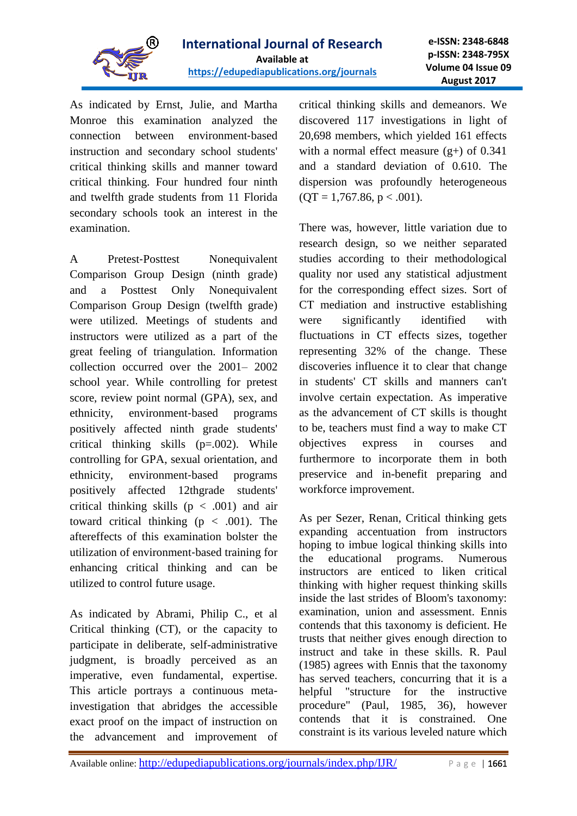

As indicated by Ernst, Julie, and Martha Monroe this examination analyzed the connection between environment‐based instruction and secondary school students' critical thinking skills and manner toward critical thinking. Four hundred four ninth and twelfth grade students from 11 Florida secondary schools took an interest in the examination.

A Pretest‐Posttest Nonequivalent Comparison Group Design (ninth grade) and a Posttest Only Nonequivalent Comparison Group Design (twelfth grade) were utilized. Meetings of students and instructors were utilized as a part of the great feeling of triangulation. Information collection occurred over the 2001– 2002 school year. While controlling for pretest score, review point normal (GPA), sex, and ethnicity, environment‐based programs positively affected ninth grade students' critical thinking skills (p=.002). While controlling for GPA, sexual orientation, and ethnicity, environment‐based programs positively affected 12thgrade students' critical thinking skills ( $p < .001$ ) and air toward critical thinking  $(p < .001)$ . The aftereffects of this examination bolster the utilization of environment‐based training for enhancing critical thinking and can be utilized to control future usage.

As indicated by Abrami, Philip C., et al Critical thinking (CT), or the capacity to participate in deliberate, self-administrative judgment, is broadly perceived as an imperative, even fundamental, expertise. This article portrays a continuous metainvestigation that abridges the accessible exact proof on the impact of instruction on the advancement and improvement of critical thinking skills and demeanors. We discovered 117 investigations in light of 20,698 members, which yielded 161 effects with a normal effect measure  $(g+)$  of 0.341 and a standard deviation of 0.610. The dispersion was profoundly heterogeneous  $(QT = 1,767.86, p < .001).$ 

There was, however, little variation due to research design, so we neither separated studies according to their methodological quality nor used any statistical adjustment for the corresponding effect sizes. Sort of CT mediation and instructive establishing were significantly identified with fluctuations in CT effects sizes, together representing 32% of the change. These discoveries influence it to clear that change in students' CT skills and manners can't involve certain expectation. As imperative as the advancement of CT skills is thought to be, teachers must find a way to make CT objectives express in courses and furthermore to incorporate them in both preservice and in-benefit preparing and workforce improvement.

As per Sezer, Renan, Critical thinking gets expanding accentuation from instructors hoping to imbue logical thinking skills into the educational programs. Numerous instructors are enticed to liken critical thinking with higher request thinking skills inside the last strides of Bloom's taxonomy: examination, union and assessment. Ennis contends that this taxonomy is deficient. He trusts that neither gives enough direction to instruct and take in these skills. R. Paul (1985) agrees with Ennis that the taxonomy has served teachers, concurring that it is a helpful "structure for the instructive procedure" (Paul, 1985, 36), however contends that it is constrained. One constraint is its various leveled nature which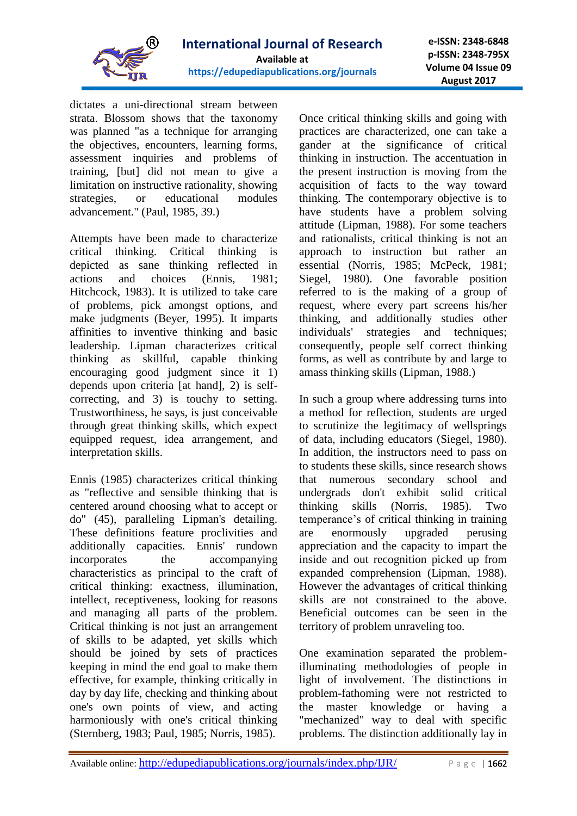

dictates a uni-directional stream between strata. Blossom shows that the taxonomy was planned "as a technique for arranging the objectives, encounters, learning forms, assessment inquiries and problems of training, [but] did not mean to give a limitation on instructive rationality, showing strategies, or educational modules advancement." (Paul, 1985, 39.)

Attempts have been made to characterize critical thinking. Critical thinking is depicted as sane thinking reflected in actions and choices (Ennis, 1981; Hitchcock, 1983). It is utilized to take care of problems, pick amongst options, and make judgments (Beyer, 1995). It imparts affinities to inventive thinking and basic leadership. Lipman characterizes critical thinking as skillful, capable thinking encouraging good judgment since it 1) depends upon criteria [at hand], 2) is selfcorrecting, and 3) is touchy to setting. Trustworthiness, he says, is just conceivable through great thinking skills, which expect equipped request, idea arrangement, and interpretation skills.

Ennis (1985) characterizes critical thinking as "reflective and sensible thinking that is centered around choosing what to accept or do" (45), paralleling Lipman's detailing. These definitions feature proclivities and additionally capacities. Ennis' rundown incorporates the accompanying characteristics as principal to the craft of critical thinking: exactness, illumination, intellect, receptiveness, looking for reasons and managing all parts of the problem. Critical thinking is not just an arrangement of skills to be adapted, yet skills which should be joined by sets of practices keeping in mind the end goal to make them effective, for example, thinking critically in day by day life, checking and thinking about one's own points of view, and acting harmoniously with one's critical thinking (Sternberg, 1983; Paul, 1985; Norris, 1985).

Once critical thinking skills and going with practices are characterized, one can take a gander at the significance of critical thinking in instruction. The accentuation in the present instruction is moving from the acquisition of facts to the way toward thinking. The contemporary objective is to have students have a problem solving attitude (Lipman, 1988). For some teachers and rationalists, critical thinking is not an approach to instruction but rather an essential (Norris, 1985; McPeck, 1981; Siegel, 1980). One favorable position referred to is the making of a group of request, where every part screens his/her thinking, and additionally studies other individuals' strategies and techniques; consequently, people self correct thinking forms, as well as contribute by and large to amass thinking skills (Lipman, 1988.)

In such a group where addressing turns into a method for reflection, students are urged to scrutinize the legitimacy of wellsprings of data, including educators (Siegel, 1980). In addition, the instructors need to pass on to students these skills, since research shows that numerous secondary school and undergrads don't exhibit solid critical thinking skills (Norris, 1985). Two temperance's of critical thinking in training are enormously upgraded perusing appreciation and the capacity to impart the inside and out recognition picked up from expanded comprehension (Lipman, 1988). However the advantages of critical thinking skills are not constrained to the above. Beneficial outcomes can be seen in the territory of problem unraveling too.

One examination separated the problemilluminating methodologies of people in light of involvement. The distinctions in problem-fathoming were not restricted to the master knowledge or having a "mechanized" way to deal with specific problems. The distinction additionally lay in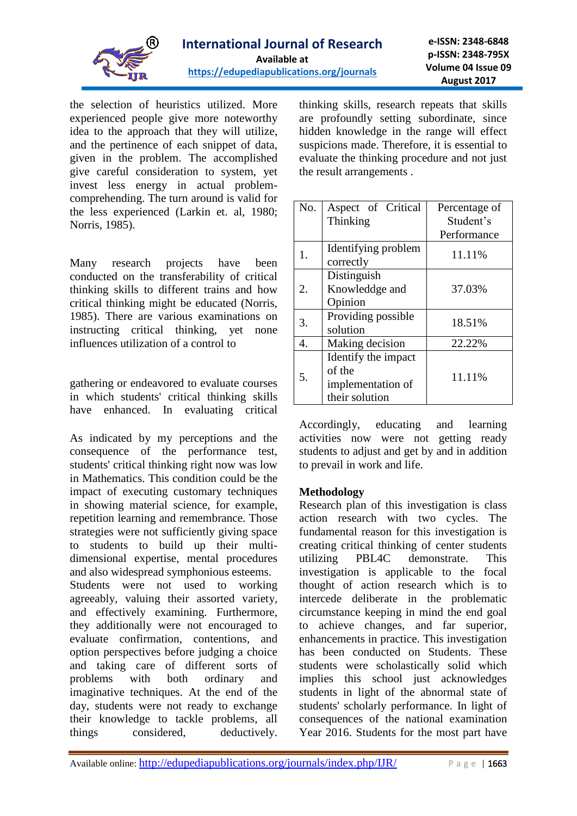

the selection of heuristics utilized. More experienced people give more noteworthy idea to the approach that they will utilize, and the pertinence of each snippet of data, given in the problem. The accomplished give careful consideration to system, yet invest less energy in actual problemcomprehending. The turn around is valid for the less experienced (Larkin et. al, 1980; Norris, 1985).

Many research projects have been conducted on the transferability of critical thinking skills to different trains and how critical thinking might be educated (Norris, 1985). There are various examinations on instructing critical thinking, yet none influences utilization of a control to

gathering or endeavored to evaluate courses in which students' critical thinking skills have enhanced. In evaluating critical

As indicated by my perceptions and the consequence of the performance test, students' critical thinking right now was low in Mathematics. This condition could be the impact of executing customary techniques in showing material science, for example, repetition learning and remembrance. Those strategies were not sufficiently giving space to students to build up their multidimensional expertise, mental procedures and also widespread symphonious esteems.

Students were not used to working agreeably, valuing their assorted variety, and effectively examining. Furthermore, they additionally were not encouraged to evaluate confirmation, contentions, and option perspectives before judging a choice and taking care of different sorts of problems with both ordinary and imaginative techniques. At the end of the day, students were not ready to exchange their knowledge to tackle problems, all things considered, deductively. thinking skills, research repeats that skills are profoundly setting subordinate, since hidden knowledge in the range will effect suspicions made. Therefore, it is essential to evaluate the thinking procedure and not just the result arrangements .

| No. | Aspect of Critical                                                   | Percentage of |
|-----|----------------------------------------------------------------------|---------------|
|     | Thinking                                                             | Student's     |
|     |                                                                      | Performance   |
| 1.  | Identifying problem<br>correctly                                     | 11.11%        |
| 2.  | Distinguish<br>Knowleddge and<br>Opinion                             | 37.03%        |
| 3.  | Providing possible<br>solution                                       | 18.51%        |
| 4.  | Making decision                                                      | 22.22%        |
| 5.  | Identify the impact<br>of the<br>implementation of<br>their solution | 11.11%        |

Accordingly, educating and learning activities now were not getting ready students to adjust and get by and in addition to prevail in work and life.

## **Methodology**

Research plan of this investigation is class action research with two cycles. The fundamental reason for this investigation is creating critical thinking of center students utilizing PBL4C demonstrate. This investigation is applicable to the focal thought of action research which is to intercede deliberate in the problematic circumstance keeping in mind the end goal to achieve changes, and far superior, enhancements in practice. This investigation has been conducted on Students. These students were scholastically solid which implies this school just acknowledges students in light of the abnormal state of students' scholarly performance. In light of consequences of the national examination Year 2016. Students for the most part have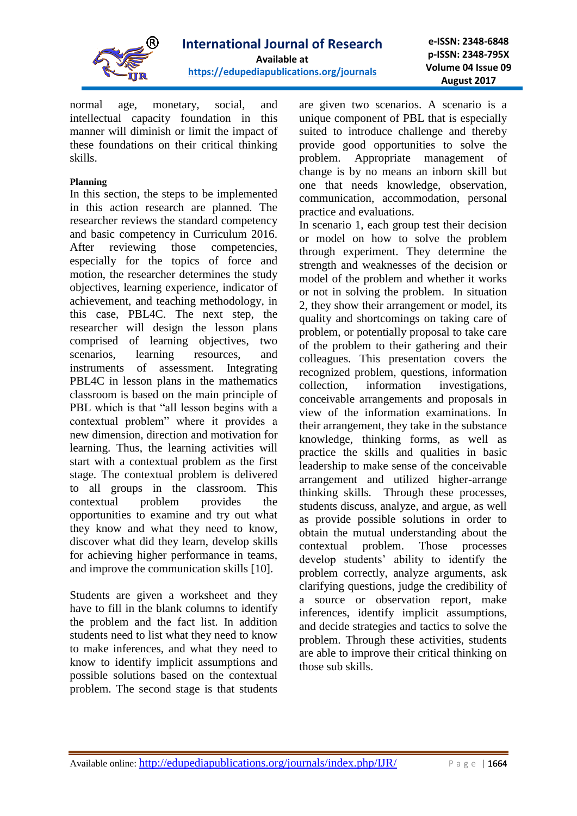

normal age, monetary, social, and intellectual capacity foundation in this manner will diminish or limit the impact of these foundations on their critical thinking skills.

#### **Planning**

In this section, the steps to be implemented in this action research are planned. The researcher reviews the standard competency and basic competency in Curriculum 2016. After reviewing those competencies, especially for the topics of force and motion, the researcher determines the study objectives, learning experience, indicator of achievement, and teaching methodology, in this case, PBL4C. The next step, the researcher will design the lesson plans comprised of learning objectives, two scenarios, learning resources, and instruments of assessment. Integrating PBL4C in lesson plans in the mathematics classroom is based on the main principle of PBL which is that "all lesson begins with a contextual problem" where it provides a new dimension, direction and motivation for learning. Thus, the learning activities will start with a contextual problem as the first stage. The contextual problem is delivered to all groups in the classroom. This contextual problem provides the opportunities to examine and try out what they know and what they need to know, discover what did they learn, develop skills for achieving higher performance in teams, and improve the communication skills [10].

Students are given a worksheet and they have to fill in the blank columns to identify the problem and the fact list. In addition students need to list what they need to know to make inferences, and what they need to know to identify implicit assumptions and possible solutions based on the contextual problem. The second stage is that students

are given two scenarios. A scenario is a unique component of PBL that is especially suited to introduce challenge and thereby provide good opportunities to solve the problem. Appropriate management of change is by no means an inborn skill but one that needs knowledge, observation, communication, accommodation, personal practice and evaluations.

In scenario 1, each group test their decision or model on how to solve the problem through experiment. They determine the strength and weaknesses of the decision or model of the problem and whether it works or not in solving the problem. In situation 2, they show their arrangement or model, its quality and shortcomings on taking care of problem, or potentially proposal to take care of the problem to their gathering and their colleagues. This presentation covers the recognized problem, questions, information collection, information investigations, conceivable arrangements and proposals in view of the information examinations. In their arrangement, they take in the substance knowledge, thinking forms, as well as practice the skills and qualities in basic leadership to make sense of the conceivable arrangement and utilized higher-arrange thinking skills. Through these processes, students discuss, analyze, and argue, as well as provide possible solutions in order to obtain the mutual understanding about the contextual problem. Those processes develop students' ability to identify the problem correctly, analyze arguments, ask clarifying questions, judge the credibility of a source or observation report, make inferences, identify implicit assumptions, and decide strategies and tactics to solve the problem. Through these activities, students are able to improve their critical thinking on those sub skills.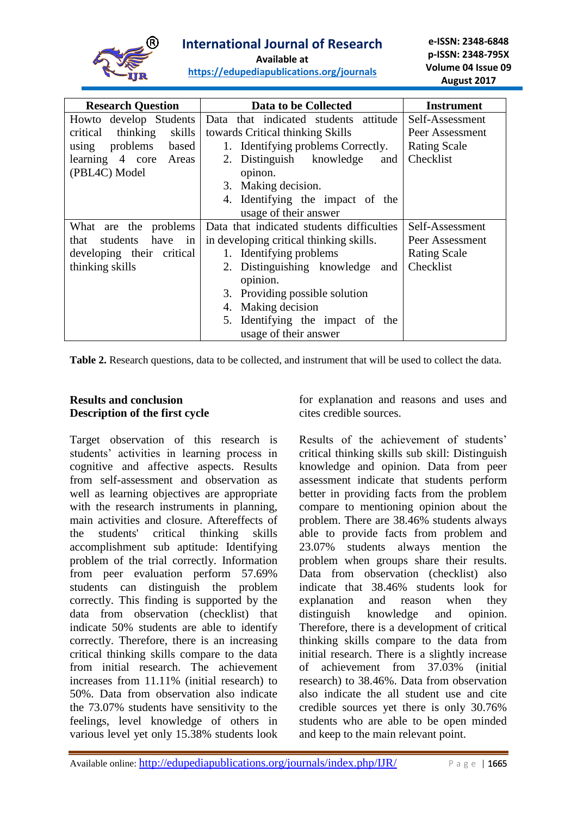

**<https://edupediapublications.org/journals>**

| <b>Research Question</b>                                           | Data to be Collected                    | <b>Instrument</b>   |  |
|--------------------------------------------------------------------|-----------------------------------------|---------------------|--|
| Howto develop Students                                             | Data that indicated students attitude   | Self-Assessment     |  |
| thinking<br>skills<br>critical                                     | towards Critical thinking Skills        | Peer Assessment     |  |
| problems<br>based<br>using                                         | 1. Identifying problems Correctly.      | <b>Rating Scale</b> |  |
| learning 4 core Areas                                              | 2. Distinguish knowledge<br>and         | Checklist           |  |
| (PBL4C) Model                                                      | opinon.                                 |                     |  |
|                                                                    | 3. Making decision.                     |                     |  |
|                                                                    | 4. Identifying the impact of the        |                     |  |
|                                                                    | usage of their answer                   |                     |  |
| Data that indicated students difficulties<br>What are the problems |                                         | Self-Assessment     |  |
| students<br>have<br>that<br>in                                     | in developing critical thinking skills. | Peer Assessment     |  |
| developing their critical                                          | 1. Identifying problems                 | <b>Rating Scale</b> |  |
| thinking skills                                                    | 2. Distinguishing knowledge<br>and      | Checklist           |  |
|                                                                    | opinion.                                |                     |  |
|                                                                    | 3. Providing possible solution          |                     |  |
|                                                                    | 4. Making decision                      |                     |  |
|                                                                    | 5. Identifying the impact of the        |                     |  |
|                                                                    | usage of their answer                   |                     |  |

**Table 2.** Research questions, data to be collected, and instrument that will be used to collect the data.

# **Results and conclusion Description of the first cycle**

Target observation of this research is students' activities in learning process in cognitive and affective aspects. Results from self-assessment and observation as well as learning objectives are appropriate with the research instruments in planning, main activities and closure. Aftereffects of the students' critical thinking skills accomplishment sub aptitude: Identifying problem of the trial correctly. Information from peer evaluation perform 57.69% students can distinguish the problem correctly. This finding is supported by the data from observation (checklist) that indicate 50% students are able to identify correctly. Therefore, there is an increasing critical thinking skills compare to the data from initial research. The achievement increases from 11.11% (initial research) to 50%. Data from observation also indicate the 73.07% students have sensitivity to the feelings, level knowledge of others in various level yet only 15.38% students look for explanation and reasons and uses and cites credible sources.

Results of the achievement of students' critical thinking skills sub skill: Distinguish knowledge and opinion. Data from peer assessment indicate that students perform better in providing facts from the problem compare to mentioning opinion about the problem. There are 38.46% students always able to provide facts from problem and 23.07% students always mention the problem when groups share their results. Data from observation (checklist) also indicate that 38.46% students look for explanation and reason when they distinguish knowledge and opinion. Therefore, there is a development of critical thinking skills compare to the data from initial research. There is a slightly increase of achievement from 37.03% (initial research) to 38.46%. Data from observation also indicate the all student use and cite credible sources yet there is only 30.76% students who are able to be open minded and keep to the main relevant point.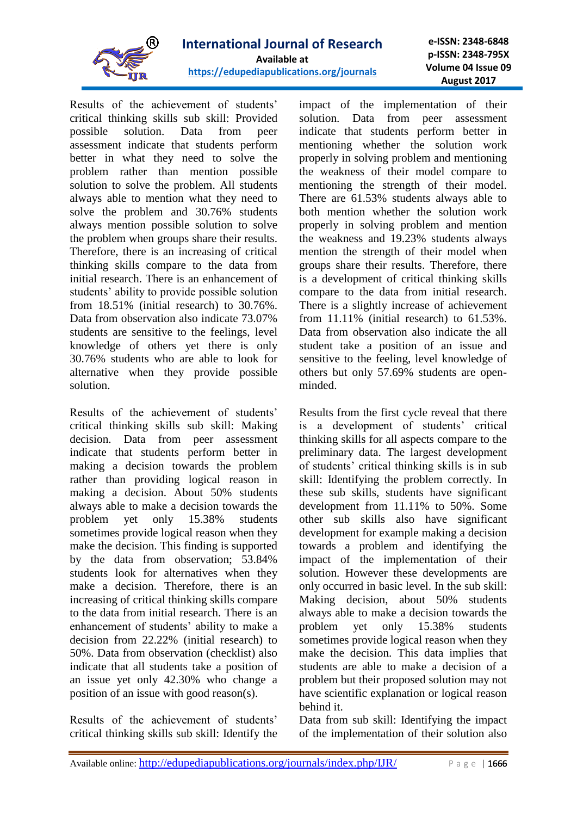

**e-ISSN: 2348-6848 p-ISSN: 2348-795X Volume 04 Issue 09 August 2017**

Results of the achievement of students' critical thinking skills sub skill: Provided possible solution. Data from peer assessment indicate that students perform better in what they need to solve the problem rather than mention possible solution to solve the problem. All students always able to mention what they need to solve the problem and 30.76% students always mention possible solution to solve the problem when groups share their results. Therefore, there is an increasing of critical thinking skills compare to the data from initial research. There is an enhancement of students' ability to provide possible solution from 18.51% (initial research) to 30.76%. Data from observation also indicate 73.07% students are sensitive to the feelings, level knowledge of others yet there is only 30.76% students who are able to look for alternative when they provide possible solution.

Results of the achievement of students' critical thinking skills sub skill: Making decision. Data from peer assessment indicate that students perform better in making a decision towards the problem rather than providing logical reason in making a decision. About 50% students always able to make a decision towards the problem yet only 15.38% students sometimes provide logical reason when they make the decision. This finding is supported by the data from observation; 53.84% students look for alternatives when they make a decision. Therefore, there is an increasing of critical thinking skills compare to the data from initial research. There is an enhancement of students' ability to make a decision from 22.22% (initial research) to 50%. Data from observation (checklist) also indicate that all students take a position of an issue yet only 42.30% who change a position of an issue with good reason(s).

Results of the achievement of students' critical thinking skills sub skill: Identify the impact of the implementation of their solution. Data from peer assessment indicate that students perform better in mentioning whether the solution work properly in solving problem and mentioning the weakness of their model compare to mentioning the strength of their model. There are 61.53% students always able to both mention whether the solution work properly in solving problem and mention the weakness and 19.23% students always mention the strength of their model when groups share their results. Therefore, there is a development of critical thinking skills compare to the data from initial research. There is a slightly increase of achievement from 11.11% (initial research) to 61.53%. Data from observation also indicate the all student take a position of an issue and sensitive to the feeling, level knowledge of others but only 57.69% students are openminded.

Results from the first cycle reveal that there is a development of students' critical thinking skills for all aspects compare to the preliminary data. The largest development of students' critical thinking skills is in sub skill: Identifying the problem correctly. In these sub skills, students have significant development from 11.11% to 50%. Some other sub skills also have significant development for example making a decision towards a problem and identifying the impact of the implementation of their solution. However these developments are only occurred in basic level. In the sub skill: Making decision, about 50% students always able to make a decision towards the problem yet only 15.38% students sometimes provide logical reason when they make the decision. This data implies that students are able to make a decision of a problem but their proposed solution may not have scientific explanation or logical reason behind it.

Data from sub skill: Identifying the impact of the implementation of their solution also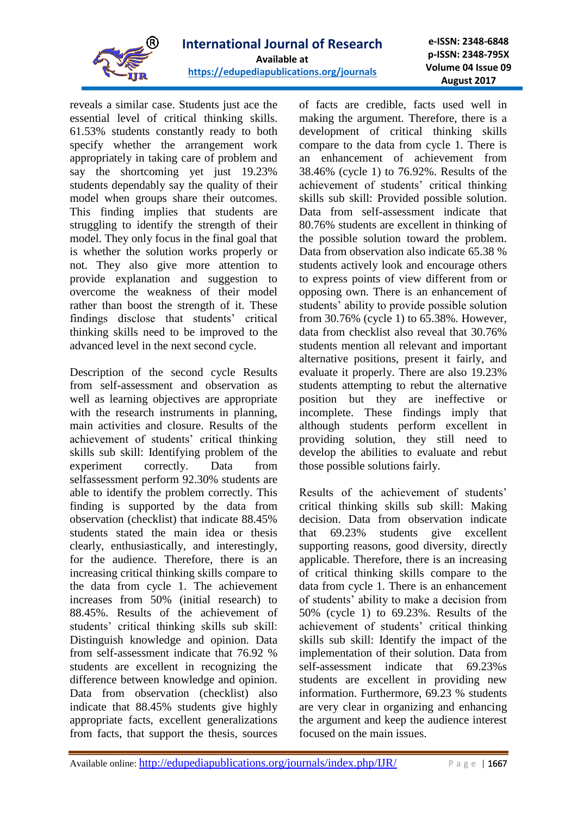

**e-ISSN: 2348-6848 p-ISSN: 2348-795X Volume 04 Issue 09 August 2017**

reveals a similar case. Students just ace the essential level of critical thinking skills. 61.53% students constantly ready to both specify whether the arrangement work appropriately in taking care of problem and say the shortcoming yet just 19.23% students dependably say the quality of their model when groups share their outcomes. This finding implies that students are struggling to identify the strength of their model. They only focus in the final goal that is whether the solution works properly or not. They also give more attention to provide explanation and suggestion to overcome the weakness of their model rather than boost the strength of it. These findings disclose that students' critical thinking skills need to be improved to the advanced level in the next second cycle.

Description of the second cycle Results from self-assessment and observation as well as learning objectives are appropriate with the research instruments in planning, main activities and closure. Results of the achievement of students' critical thinking skills sub skill: Identifying problem of the experiment correctly. Data from selfassessment perform 92.30% students are able to identify the problem correctly. This finding is supported by the data from observation (checklist) that indicate 88.45% students stated the main idea or thesis clearly, enthusiastically, and interestingly, for the audience. Therefore, there is an increasing critical thinking skills compare to the data from cycle 1. The achievement increases from 50% (initial research) to 88.45%. Results of the achievement of students' critical thinking skills sub skill: Distinguish knowledge and opinion. Data from self-assessment indicate that 76.92 % students are excellent in recognizing the difference between knowledge and opinion. Data from observation (checklist) also indicate that 88.45% students give highly appropriate facts, excellent generalizations from facts, that support the thesis, sources

of facts are credible, facts used well in making the argument. Therefore, there is a development of critical thinking skills compare to the data from cycle 1. There is an enhancement of achievement from 38.46% (cycle 1) to 76.92%. Results of the achievement of students' critical thinking skills sub skill: Provided possible solution. Data from self-assessment indicate that 80.76% students are excellent in thinking of the possible solution toward the problem. Data from observation also indicate 65.38 % students actively look and encourage others to express points of view different from or opposing own. There is an enhancement of students' ability to provide possible solution from 30.76% (cycle 1) to 65.38%. However, data from checklist also reveal that 30.76% students mention all relevant and important alternative positions, present it fairly, and evaluate it properly. There are also 19.23% students attempting to rebut the alternative position but they are ineffective or incomplete. These findings imply that although students perform excellent in providing solution, they still need to develop the abilities to evaluate and rebut those possible solutions fairly.

Results of the achievement of students' critical thinking skills sub skill: Making decision. Data from observation indicate that 69.23% students give excellent supporting reasons, good diversity, directly applicable. Therefore, there is an increasing of critical thinking skills compare to the data from cycle 1. There is an enhancement of students' ability to make a decision from 50% (cycle 1) to 69.23%. Results of the achievement of students' critical thinking skills sub skill: Identify the impact of the implementation of their solution. Data from self-assessment indicate that 69.23%s students are excellent in providing new information. Furthermore, 69.23 % students are very clear in organizing and enhancing the argument and keep the audience interest focused on the main issues.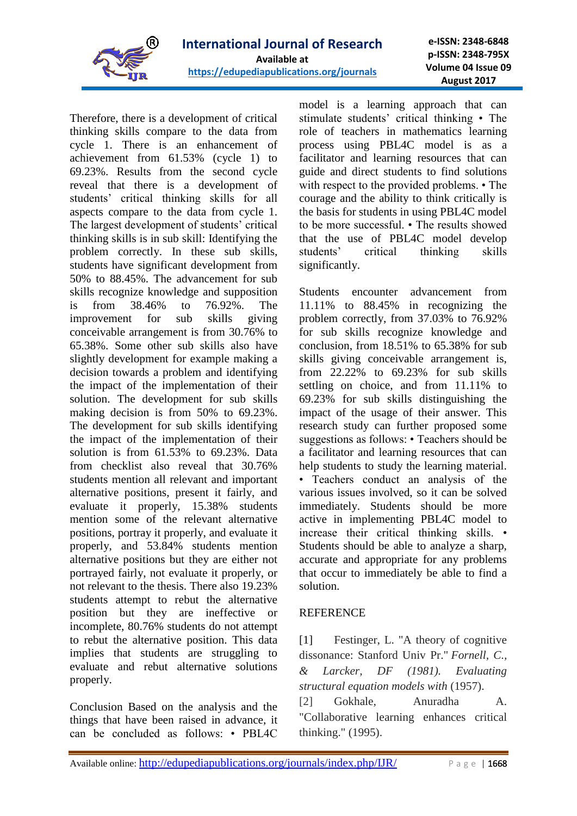

Therefore, there is a development of critical thinking skills compare to the data from cycle 1. There is an enhancement of achievement from 61.53% (cycle 1) to 69.23%. Results from the second cycle reveal that there is a development of students' critical thinking skills for all aspects compare to the data from cycle 1. The largest development of students' critical thinking skills is in sub skill: Identifying the problem correctly. In these sub skills, students have significant development from 50% to 88.45%. The advancement for sub skills recognize knowledge and supposition is from 38.46% to 76.92%. The improvement for sub skills giving conceivable arrangement is from 30.76% to 65.38%. Some other sub skills also have slightly development for example making a decision towards a problem and identifying the impact of the implementation of their solution. The development for sub skills making decision is from 50% to 69.23%. The development for sub skills identifying the impact of the implementation of their solution is from 61.53% to 69.23%. Data from checklist also reveal that 30.76% students mention all relevant and important alternative positions, present it fairly, and evaluate it properly, 15.38% students mention some of the relevant alternative positions, portray it properly, and evaluate it properly, and 53.84% students mention alternative positions but they are either not portrayed fairly, not evaluate it properly, or not relevant to the thesis. There also 19.23% students attempt to rebut the alternative position but they are ineffective or incomplete, 80.76% students do not attempt to rebut the alternative position. This data implies that students are struggling to evaluate and rebut alternative solutions properly.

Conclusion Based on the analysis and the things that have been raised in advance, it can be concluded as follows: • PBL4C

model is a learning approach that can stimulate students' critical thinking • The role of teachers in mathematics learning process using PBL4C model is as a facilitator and learning resources that can guide and direct students to find solutions with respect to the provided problems. • The courage and the ability to think critically is the basis for students in using PBL4C model to be more successful. • The results showed that the use of PBL4C model develop students' critical thinking skills significantly.

Students encounter advancement from 11.11% to 88.45% in recognizing the problem correctly, from 37.03% to 76.92% for sub skills recognize knowledge and conclusion, from 18.51% to 65.38% for sub skills giving conceivable arrangement is, from 22.22% to 69.23% for sub skills settling on choice, and from 11.11% to 69.23% for sub skills distinguishing the impact of the usage of their answer. This research study can further proposed some suggestions as follows: • Teachers should be a facilitator and learning resources that can help students to study the learning material. • Teachers conduct an analysis of the various issues involved, so it can be solved immediately. Students should be more active in implementing PBL4C model to increase their critical thinking skills. • Students should be able to analyze a sharp, accurate and appropriate for any problems that occur to immediately be able to find a solution.

## **REFERENCE**

[1] Festinger, L. "A theory of cognitive dissonance: Stanford Univ Pr." *Fornell, C., & Larcker, DF (1981). Evaluating structural equation models with* (1957).

[2] Gokhale, Anuradha A. "Collaborative learning enhances critical thinking." (1995).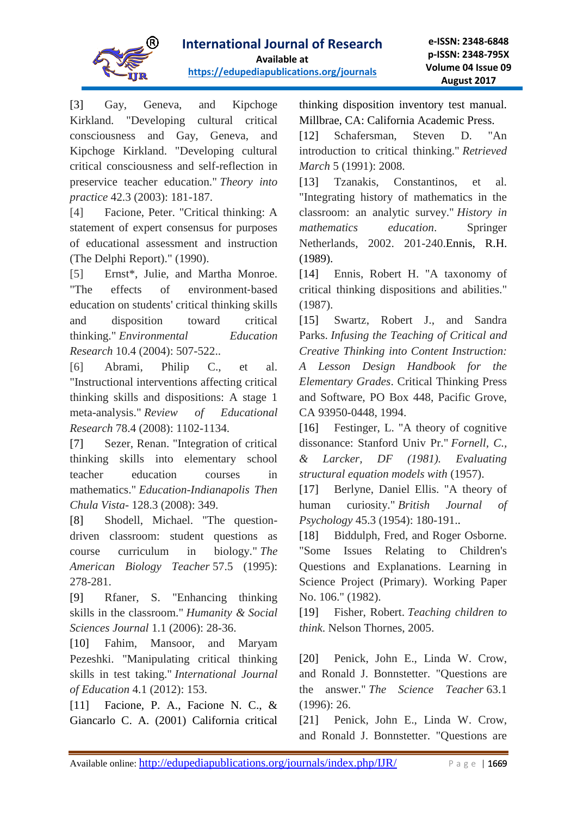

[3] Gay, Geneva, and Kipchoge Kirkland. "Developing cultural critical consciousness and Gay, Geneva, and Kipchoge Kirkland. "Developing cultural critical consciousness and self-reflection in preservice teacher education." *Theory into practice* 42.3 (2003): 181-187.

[4] Facione, Peter. "Critical thinking: A statement of expert consensus for purposes of educational assessment and instruction (The Delphi Report)." (1990).

[5] Ernst\*, Julie, and Martha Monroe. "The effects of environment‐based education on students' critical thinking skills and disposition toward critical thinking." *Environmental Education Research* 10.4 (2004): 507-522..

[6] Abrami, Philip C., et al. "Instructional interventions affecting critical thinking skills and dispositions: A stage 1 meta-analysis." *Review of Educational Research* 78.4 (2008): 1102-1134.

[7] Sezer, Renan. "Integration of critical thinking skills into elementary school teacher education courses in mathematics." *Education-Indianapolis Then Chula Vista-* 128.3 (2008): 349.

[8] Shodell, Michael. "The questiondriven classroom: student questions as course curriculum in biology." *The American Biology Teacher* 57.5 (1995): 278-281.

[9] Rfaner, S. "Enhancing thinking skills in the classroom." *Humanity & Social Sciences Journal* 1.1 (2006): 28-36.

[10] Fahim, Mansoor, and Maryam Pezeshki. "Manipulating critical thinking skills in test taking." *International Journal of Education* 4.1 (2012): 153.

[11] Facione, P. A., Facione N. C., & Giancarlo C. A. (2001) California critical

thinking disposition inventory test manual. Millbrae, CA: California Academic Press.

[12] Schafersman, Steven D. "An introduction to critical thinking." *Retrieved March* 5 (1991): 2008.

[13] Tzanakis, Constantinos, et al. "Integrating history of mathematics in the classroom: an analytic survey." *History in mathematics education*. Springer Netherlands, 2002. 201-240.Ennis, R.H. (1989).

[14] Ennis, Robert H. "A taxonomy of critical thinking dispositions and abilities." (1987).

[15] Swartz, Robert J., and Sandra Parks. *Infusing the Teaching of Critical and Creative Thinking into Content Instruction: A Lesson Design Handbook for the Elementary Grades*. Critical Thinking Press and Software, PO Box 448, Pacific Grove, CA 93950-0448, 1994.

[16] Festinger, L. "A theory of cognitive dissonance: Stanford Univ Pr." *Fornell, C., & Larcker, DF (1981). Evaluating structural equation models with* (1957).

[17] Berlyne, Daniel Ellis. "A theory of human curiosity." *British Journal of Psychology* 45.3 (1954): 180-191..

[18] Biddulph, Fred, and Roger Osborne. "Some Issues Relating to Children's Questions and Explanations. Learning in Science Project (Primary). Working Paper No. 106." (1982).

[19] Fisher, Robert. *Teaching children to think*. Nelson Thornes, 2005.

[20] Penick, John E., Linda W. Crow, and Ronald J. Bonnstetter. "Questions are the answer." *The Science Teacher* 63.1 (1996): 26.

[21] Penick, John E., Linda W. Crow, and Ronald J. Bonnstetter. "Questions are